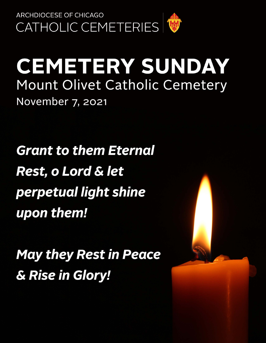

# **CEMETERY SUNDAY** Mount Olivet Catholic Cemetery November 7, 2021

**Grant to them Eternal** Rest, o Lord & let perpetual light shine upon them!

**May they Rest in Peace** & Rise in Glory!

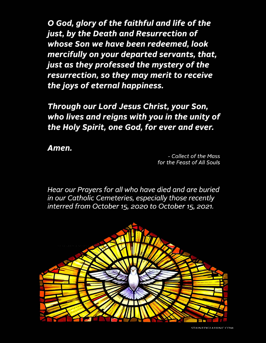O God, glory of the faithful and life of the just, by the Death and Resurrection of whose Son we have been redeemed, look mercifully on your departed servants, that, just as they professed the mystery of the resurrection, so they may merit to receive the joys of eternal happiness.

Through our Lord Jesus Christ, your Son, who lives and reigns with you in the unity of the Holy Spirit, one God, for ever and ever.

Amen.

- Collect of the Mass for the Feast of All Souls

Hear our Prayers for all who have died and are buried in our Catholic Cemeteries, especially those recently interred from October 15, 2020 to October 15, 2021.

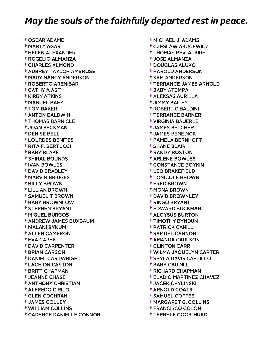† OSCAR ADAME † MARTY AGAR † HELEN ALEXANDER † ROGELIO ALMANZA † CHARLES ALMOND † AUBREY TAYLOR AMBROSE † MARY NANCY ANDERSON † ROBERTO ARENIBAR † CATHY A AST † KIRBY ATKINS † MANUEL BAEZ † TOM BAKER † ANTON BALDWIN † THOMAS BARNICLE † JOAN BECKMAN † DENISE BELL † LOURDES BENITES † RITA F. BERTUCCI † BABY BLAKE † SHIRAL BOUNDS † IVAN BOWLES † DAVID BRADLEY † MARVIN BRIDGES † BILLY BROWN † LILLIAN BROWN † SAMUEL T BROWN † BABY BROWNLOW † STEPHEN BRYANT † MIGUEL BURGOS † ANDREW JAMES BUXBAUM † MALANI BYNUM † ALLEN CAMERON † EVA CAPEK † DAVID CARPENTER † BRIAN CARSON † DANIEL CARTWRIGHT † LACHION CASTON † BRITT CHAPMAN † JEANNE CHASE † ANTHONY CHRISTIAN † ALFREDO CIRILO † GLEN COCHRAN † JAMES COLLEY † WILLIAM COLLINS † CADENCE DANIELLE CONNOR

 † MICHAEL J. ADAMS † CZESLAW AKUCEWICZ † THOMAS REV. ALKIRE † JOSE ALMANZA † DOUGLAS ALUKO † HAROLD ANDERSON † SAM ANDERSON † TERRANCE JAMES ARNOLD † BABY ATEMPA † ALEKSAS AURILLA † JIMMY BAILEY † ROBERT C BALDINI † TERRANCE BARNER † VIRGINIA BAUERLE † JAMES BELCHER † JAMES BENEDICK † PAMELA BERNHOFT † SHANE BLAIR † RANDY BOSTON † ARLENE BOWLES † CONSTANCE BOYKIN † LEO BRAKEFIELD † TONICOLE BROWN † FRED BROWN † MONA BROWN † DAVID BROWNLEY † RINGO BRYANT † EDWARD BUCKMAN † ALOYSUS BURTON † TIMOTHY BYNDUM † PATRICK CAHILL † SAMUEL CANNON † AMANDA CARLSON † CLINTON CARR † WILMA JAQUELYN CARTER † SHYLA DAVIS CASTILLO † BABY CAUDILL † RICHARD CHAPMAN † ELADIO MARTINEZ CHAVEZ † JACEK CHYLINSKI † ARNOLD COATS † SAMUEL COFFEE † MARGARET G. COLLINS

- † FRANCISCO COLON
- † TERRYLE COOK-HURD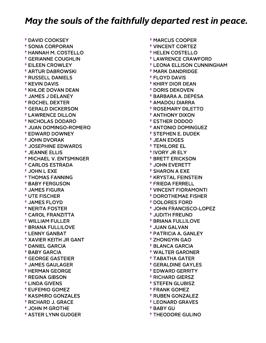† DAVID COOKSEY † SONIA CORPORAN † HANNAH M. COSTELLO † GERIANNE COUGHLIN † EILEEN CROWLEY † ARTUR DABROWSKI † RUSSELL DANIELS † KEVIN DAVIS † KHLOE DOVAN DEAN † JAMES J DELANEY † ROCHEL DEXTER † GERALD DICKERSON † LAWRENCE DILLON † NICHOLAS DODARO † JUAN DOMINGO-ROMERO † EDWARD DOWNEY † JOHN DVORAK † JOSEPHINE EDWARDS † JEANNE ELLIS † MICHAEL V. ENTSMINGER † CARLOS ESTRADA † JOHN L EXE † THOMAS FANNING † BABY FERGUSON † JAMES FIGURA † UTE FISCHER † JAMES FLOYD † NERITA FOSTER † CAROL FRANZITTA † WILLIAM FULLER † BRIANA FULLILOVE † LENNY GANBAT † XAVIER KEITH JR GANT † DANIEL GARCIA † BABY GARCIA † GEORGE GASTEIER † JAMES GAULAGER † HERMAN GEORGE † REGINA GIBSON † LINDA GIVENS † EUFEMIO GOMEZ † KASIMIRO GONZALES † RICHARD J. GRACE † JOHN M GROTHE † ASTER LYNN GUDGER

 † MARCUS COOPER † VINCENT CORTEZ † HELEN COSTELLO † LAWRENCE CRAWFORD † LEONA ELLISON CUNNINGHAM † MARK DANDRIDGE † FLOYD DAVIS † KHIRY DIOR DEAN † DORIS DEKOVEN † BARBARA A. DEPESA † AMADOU DIARRA † ROSEMARY DILETTO † ANTHONY DIXON † ESTHER DODOO † ANTONIO DOMINGUEZ † STEPHEN E. DUDEK † JEAN EDGES † TEMILORE EL † IVORY JR ELY † BRETT ERICKSON † JOHN EVERETT † SHARON A EXE † KRYSTAL FEINSTEIN † FRIEDA FERRELL † VINCENT FIORAMONTI † DOROTHEMAE FISHER † DOLORES FORD † JOHN FRANCISCO-LOPEZ † JUDITH FREUND † BRIANA FULLILOVE † JUAN GALVAN † PATRICIA A. GANLEY † ZHONGYIN GAO † BLANCA GARCIA † WALTER GARDNER † TABATHA GATER † GERALDINE GAYLES † EDWARD GERRITY † RICHARD GIERSZ † STEFEN GLUBISZ † FRANK GOMEZ † RUBEN GONZALEZ † LEONARD GRAVES

- † BABY GU
- † THEODORE GULINO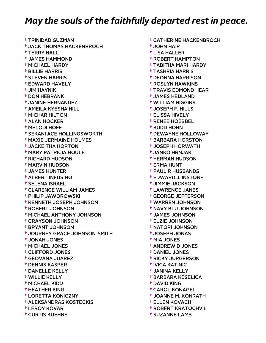† TRINIDAD GUZMAN † JACK THOMAS HACKENBROCH † TERRY HALL † JAMES HAMMOND † MICHAEL HARDY † BILLIE HARRIS † STEVEN HARRIS † EDWARD HAVELY † JIM HAYNIK † DON HEBRANK † JANINE HERNANDEZ † AMEILA KYESHA HILL † MICHAR HILTON † ALAN HOCKER † MELODI HOFF † SEKANI ACE HOLLINGSWORTH † MAXIE JERMAINE HOLMES † JACKEITHA HORTON † MARY PATRICIA HOULE † RICHARD HUDSON † MARVIN HUDSON † JAMES HUNTER † ALBERT INFUSINO † SELENA ISRAEL † CLARENCE WILLIAM JAMES † PHILIP JAWOROWSKI † KENNETH JOSEPH JOHNSON † ROBERT JOHNSON † MICHAEL ANTHONY JOHNSON † GRAYSON JOHNSON † BRYANT JOHNSON † JOURNEY GRACE JOHNSON-SMITH † JONAH JONES † MICHAEL JONES † CLIFFORD JONES † GEOVANA JUAREZ † DENNIS KASPER † DANELLE KELLY † WILLIE KELLY † MICHAEL KIDD † HEATHER KING † LORETTA KONICZNY † ALEKSANDRAS KOSTECKIS † LEROY KOVAR † CURTIS KUEHNE

 † JOHN HAIR † LISA HALLER † ROBERT HAMPTON † TABITHA MARI HARDY † TASHRIA HARRIS † DEONNA HARRISON † ROSLYN HAWKINS † TRAVIS EDMOND HEAR † JAMES HEDLAND † WILLIAM HIGGINS † JOSEPH F. HILLS † ELISSA HIVELY † RENEE HOEBBEL † BUDD HOHN † DEWAYNE HOLLOWAY † BARBARA HORSTON † JOSEPH HORWATH † JANKO HRNJAK † HERMAN HUDSON † ERMA HUNT † PAUL R HUSBANDS † EDWARD J. INSTONE † JIMMIE JACKSON † LAWRENCE JANES † GEORGE JEFFERSON † WARREN JOHNSON † NAVY BLU JOHNSON † JAMES JOHNSON † ELZIE JOHNSON † NATORI JOHNSON † JOSEPH JONAS † MIA JONES † ANDREW D JONES † DANIEL JONES † RICKY JURGERSON † IVICA KATINIC † JANINA KELLY † BARBARA KESELICA † DAVID KING † CAROL KONAGEL † JOANNE M. KONRATH † ELLEN KOVACH

† CATHERINE HACKENBROCH

- † ROBERT KRATOCHVIL
- † SUZANNE LAMB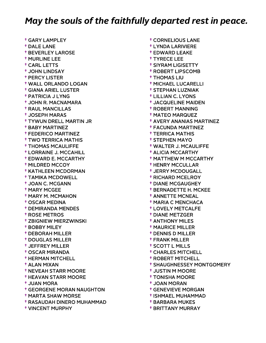† GARY LAMPLEY † DALE LANE † BEVERLEY LAROSE † MURLINE LEE † CARL LETTS † JOHN LINDSAY † PERCY LISTER † WALL ORLANDO LOGAN † GIANA ARIEL LUSTER † PATRICIA J LYNG † JOHN R. MACNAMARA † RAUL MANCILLAS † JOSEPH MARAS † TYWUN DRELL MARTIN JR † BABY MARTINEZ † FEDERICO MARTINEZ † TWO TERRICA MATHIS † THOMAS MCAULIFFE † LORRAINE J. MCCAHILL † EDWARD E. MCCARTHY † MILDRED MCCOY † KATHLEEN MCDORMAN † TAMIKA MCDOWELL † JOAN C. MCGANN † MARY MCGEE † MARY M. MCMAHON † OSCAR MEDINA † DEMIRANDA MENDES † ROSE METROS † ZBIGNIEW MIERZWINSKI † BOBBY MILEY † DEBORAH MILLER † DOUGLAS MILLER † JEFFREY MILLER † OSCAR MIRANDA † HERMAN MITCHELL † ALAN MIXAN † NEVEAH STARR MOORE † HEAVAN STARR MOORE † JUAN MORA † GEORGENE MORAN NAUGHTON † MARTA SHAW MORSE † RASAUDAH DINERO MUHAMMAD

† VINCENT MURPHY

 † CORNELIOUS LANE † LYNDA LARIVIERE † EDWARD LEAKE † TYRECE LEE † SIYRAM LIGISETTY † ROBERT LIPSCOMB † THOMAS LIU † MICHAEL LUCARELLI † STEPHAN LUZNIAK † LILLIAN C. LYONS † JACQUELINE MAIDEN † ROBERT MANNING † MATEO MARQUEZ † AVERY ANANIAS MARTINEZ † FACUNDA MARTINEZ † TERRICA MATHIS † STEPHEN MAYO † WALTER J. MCAULIFFE † ALICIA MCCARTHY † MATTHEW M MCCARTHY † HENRY MCCULLAR † JERRY MCDOUGALL † RICHARD MCELROY † DIANE MCGAUGHEY † BERNADETTE H. MCKEE † ANNETTE MCNEAL † MARIA C MENCHACA † LOVELY METCALFE † DIANE METZGER † ANTHONY MILES † MAURICE MILLER † DENNIS D MILLER † FRANK MILLER † SCOTT L MILLS † CHARLES MITCHELL † ROBERT MITCHELL † SHAUGHNESSEY MONTGOMERY † JUSTIN M MOORE † TONISHA MOORE † JOAN MORAN † GENEVIEVE MORGAN † ISHMAEL MUHAMMAD

- † BARBARA MUKES
- † BRITTANY MURRAY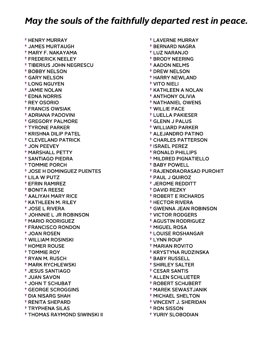† HENRY MURRAY † JAMES MURTAUGH † MARY F. NAKAYAMA † FREDERICK NEELEY † TIBERIUS JOHN NEGRESCU † BOBBY NELSON † GARY NELSON † LONG NGUYEN † JAMIE NOLAN † EDNA NORRIS † REY OSORIO † FRANCIS OWSIAK † ADRIANA PADOVINI † GREGORY PALMORE † TYRONE PARKER † KRISHNA DILIP PATEL † CLEVELAND PATRICK † JON PEEVEY † MARSHALL PETTY † SANTIAGO PIEDRA † TOMMIE PORCH † JOSE H DOMINGUEZ PUENTES † LILA W PUTZ † EFRIN RAMIREZ † BONITA REESE † AALIYAH MARY RICE † KATHLEEN M. RILEY † JOSE L RIVERA † JOHNNIE L JR ROBINSON † MARIO RODRIGUEZ † FRANCISCO RONDON † JOAN ROSEN † WILLIAM ROSINSKI † HOMER ROUSE † TOMMIE ROY † RYAN M. RUSCH † MARK RYCHLEWSKI † JESUS SANTIAGO † JUAN SAVON † JOHN T SCHUBAT † GEORGE SCROGGINS † DIA NISARG SHAH † RENITA SHEPARD † TRYPHENA SILAS † THOMAS RAYMOND SIWINSKI II

 † LAVERNE MURRAY † BERNARD NAGRA † LUZ NARANJO † BRODY NEERING † AADON NELMS † DREW NELSON † HARRY NEWLAND † VITO NIELI † KATHLEEN A NOLAN † ANTHONY OLIVIA † NATHANIEL OWENS † WILLIE PACE † LUELLA PAKIESER † GLENN J PALUS † WILLIARD PARKER † ALEJANDRO PATINO † CHARLES PATTERSON † ISRAEL PEREZ † RONALD PHILLIPS † MILDRED PIGNATIELLO † BABY POWELL † RAJENDRAORASAD PUROHIT † PAUL J QUIROZ † JEROME REDDITT † DAVID REZKY † ROBERT E RICHARDS † HECTOR RIVERA † GWENNA JEAN ROBINSON † VICTOR RODGERS † AGUSTIN RODRIGUEZ † MIGUEL ROSA † LOUISE ROSHANGAR † LYNN ROUP † MARIAN ROVITO † KRYSTYNA RUDZINSKA † BABY RUSSELL † SHIRLEY SALTER † CESAR SANTIS † ALLEN SCHLUETER † ROBERT SCHUBERT † MAREK SEWASTJANIK † MICHAEL SHELTON

- † VINCENT J. SHERIDAN
- † RON SISSON
- † YURIY SLOBODIAN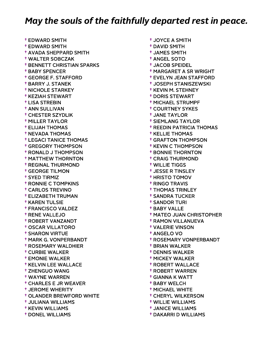† EDWARD SMITH † EDWARD SMITH † AVADA SHEPPARD SMITH † WALTER SOBCZAK † BENNETT CHRISTIAN SPARKS † BABY SPENCER † GEORGE F. STAFFORD † BARRY J. STANEK † NICHOLE STARKEY † KEZIAH STEWART † LISA STREBIN † ANN SULLIVAN † CHESTER SZYDLIK † MILLER TAYLOR † ELIJAH THOMAS † NEVADA THOMAS † LEGACI TANICE THOMAS † GREGORY THOMPSON † RONALD J THOMPSON † MATTHEW THORNTON † REGINAL THURMOND † GEORGE TILMON † SYED TIRMIZ † RONNIE C TOMPKINS † CARLOS TREVINO † ELIZABETH TRUMAN † KAREN TULSIE † FRANCISCO VALDEZ † RENE VALLEJO † ROBERT VANZANDT † OSCAR VILLATORO † SHARON VIRTUE † MARK G. VONPERBANDT † ROSEMARY WALDHIER † CURBIE WALKER † EMONIE WALKER † KELVIN LEE WALLACE † ZHENGUO WANG † WAYNE WARREN † CHARLES E JR WEAVER † JEROME WHERITY † OLANDER BREWFORD WHITE † JULIANA WILLIAMS † KEVIN WILLIAMS † DONEL WILLIAMS

 † JOYCE A SMITH † DAVID SMITH † JAMES SMITH † ANGEL SOTO † JACOB SPEIDEL † MARGARET A SR WRIGHT † EVELYN JEAN STAFFORD † JOSEPH STANISZEWSKI † KEVIN M. STEHNEY † DORIS STEWART † MICHAEL STRUMPF † COURTNEY SYKES † JANE TAYLOR † SIEMLANG TAYLOR † REEDIN PATRICIA THOMAS † KELLIE THOMAS † GRAFTON THOMPSON † KEVIN C THOMPSON † BONNIE THORNTON † CRAIG THURMOND † WILLIE TIGGS † JESSE R TINSLEY † HRISTO TOMOV † RINGO TRAVIS † THOMAS TRINLEY † SANDRA TUCKER † SANDOR TURI † BABY VALLE † MATEO JUAN CHRISTOPHER † RAMON VILLANUEVA † VALERIE VINSON † ANGELO VO † ROSEMARY VONPERBANDT † BRIAN WALKER † DENNIS WALKER † MICKEY WALKER † ROBERT WALLACE † ROBERT WARREN † GIANNA K WATT † BABY WELCH † MICHAEL WHITE † CHERYL WILKERSON

- † WILLIE WILLIAMS
- † JANICE WILLIAMS
- † DAKARRI D WILLIAMS